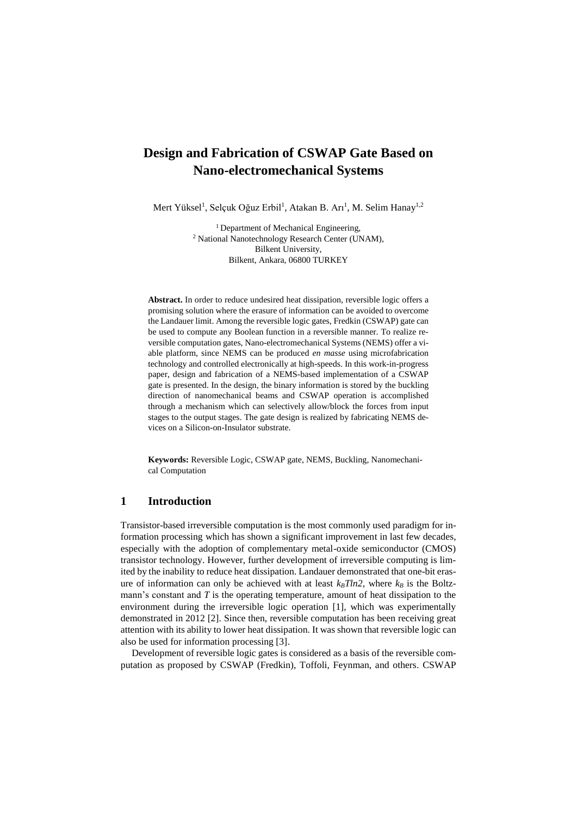# **Design and Fabrication of CSWAP Gate Based on Nano-electromechanical Systems**

Mert Yüksel<sup>1</sup>, Selçuk Oğuz Erbil<sup>1</sup>, Atakan B. Arı<sup>1</sup>, M. Selim Hanay<sup>1,2</sup>

<sup>1</sup> Department of Mechanical Engineering, <sup>2</sup> National Nanotechnology Research Center (UNAM), Bilkent University, Bilkent, Ankara, 06800 TURKEY

**Abstract.** In order to reduce undesired heat dissipation, reversible logic offers a promising solution where the erasure of information can be avoided to overcome the Landauer limit. Among the reversible logic gates, Fredkin (CSWAP) gate can be used to compute any Boolean function in a reversible manner. To realize reversible computation gates, Nano-electromechanical Systems (NEMS) offer a viable platform, since NEMS can be produced *en masse* using microfabrication technology and controlled electronically at high-speeds. In this work-in-progress paper, design and fabrication of a NEMS-based implementation of a CSWAP gate is presented. In the design, the binary information is stored by the buckling direction of nanomechanical beams and CSWAP operation is accomplished through a mechanism which can selectively allow/block the forces from input stages to the output stages. The gate design is realized by fabricating NEMS devices on a Silicon-on-Insulator substrate.

**Keywords:** Reversible Logic, CSWAP gate, NEMS, Buckling, Nanomechanical Computation

# **1 Introduction**

Transistor-based irreversible computation is the most commonly used paradigm for information processing which has shown a significant improvement in last few decades, especially with the adoption of complementary metal-oxide semiconductor (CMOS) transistor technology. However, further development of irreversible computing is limited by the inability to reduce heat dissipation. Landauer demonstrated that one-bit erasure of information can only be achieved with at least  $k_B T ln2$ , where  $k_B$  is the Boltzmann's constant and *T* is the operating temperature, amount of heat dissipation to the environment during the irreversible logic operation [1], which was experimentally demonstrated in 2012 [2]. Since then, reversible computation has been receiving great attention with its ability to lower heat dissipation. It was shown that reversible logic can also be used for information processing [3].

Development of reversible logic gates is considered as a basis of the reversible computation as proposed by CSWAP (Fredkin), Toffoli, Feynman, and others. CSWAP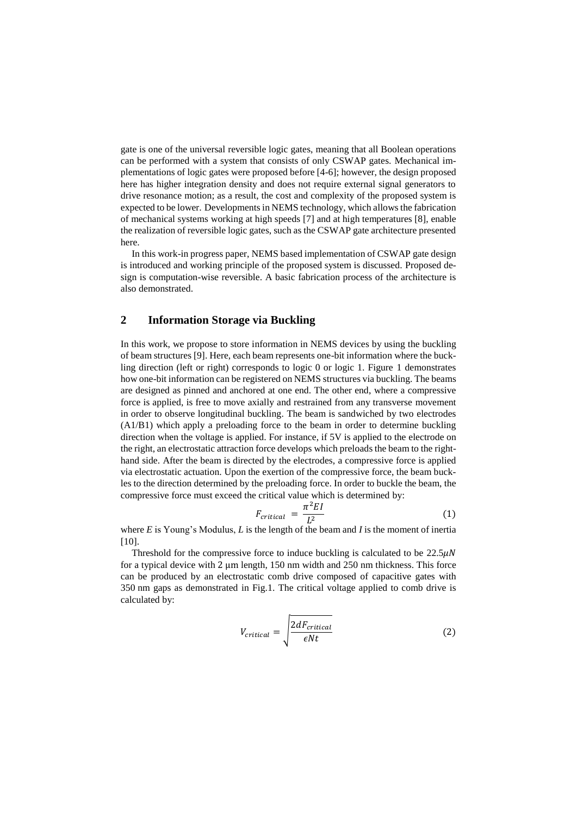gate is one of the universal reversible logic gates, meaning that all Boolean operations can be performed with a system that consists of only CSWAP gates. Mechanical implementations of logic gates were proposed before [4-6]; however, the design proposed here has higher integration density and does not require external signal generators to drive resonance motion; as a result, the cost and complexity of the proposed system is expected to be lower. Developments in NEMS technology, which allows the fabrication of mechanical systems working at high speeds [7] and at high temperatures [8], enable the realization of reversible logic gates, such as the CSWAP gate architecture presented here.

In this work-in progress paper, NEMS based implementation of CSWAP gate design is introduced and working principle of the proposed system is discussed. Proposed design is computation-wise reversible. A basic fabrication process of the architecture is also demonstrated.

## **2 Information Storage via Buckling**

In this work, we propose to store information in NEMS devices by using the buckling of beam structures [9]. Here, each beam represents one-bit information where the buckling direction (left or right) corresponds to logic 0 or logic 1. Figure 1 demonstrates how one-bit information can be registered on NEMS structures via buckling. The beams are designed as pinned and anchored at one end. The other end, where a compressive force is applied, is free to move axially and restrained from any transverse movement in order to observe longitudinal buckling. The beam is sandwiched by two electrodes (A1/B1) which apply a preloading force to the beam in order to determine buckling direction when the voltage is applied. For instance, if 5V is applied to the electrode on the right, an electrostatic attraction force develops which preloads the beam to the righthand side. After the beam is directed by the electrodes, a compressive force is applied via electrostatic actuation. Upon the exertion of the compressive force, the beam buckles to the direction determined by the preloading force. In order to buckle the beam, the compressive force must exceed the critical value which is determined by:

$$
F_{critical} = \frac{\pi^2 EI}{L^2} \tag{1}
$$

where *E* is Young's Modulus, *L* is the length of the beam and *I* is the moment of inertia [10].

Threshold for the compressive force to induce buckling is calculated to be  $22.5\mu\text{N}$ for a typical device with 2 μm length, 150 nm width and 250 nm thickness. This force can be produced by an electrostatic comb drive composed of capacitive gates with 350 nm gaps as demonstrated in Fig.1. The critical voltage applied to comb drive is calculated by:

$$
V_{critical} = \sqrt{\frac{2dF_{critical}}{\epsilon Nt}}
$$
 (2)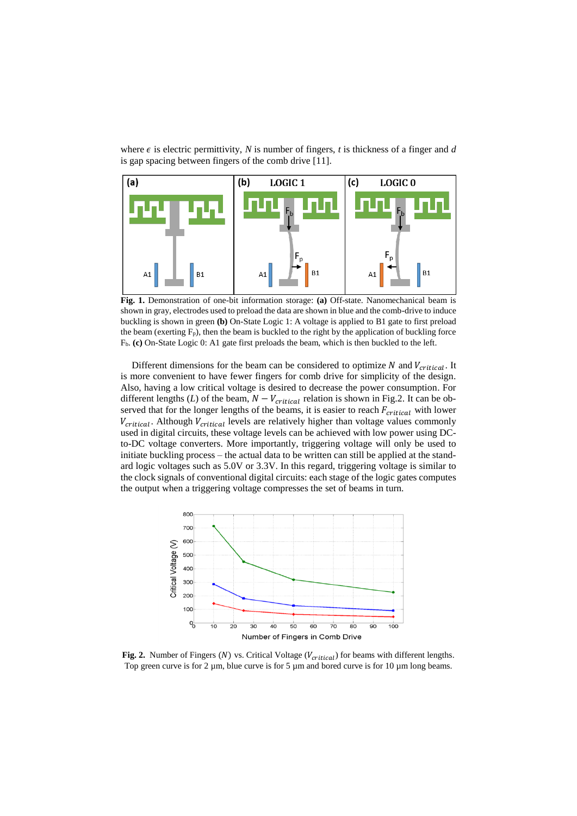where  $\epsilon$  is electric permittivity,  $N$  is number of fingers,  $t$  is thickness of a finger and  $d$ is gap spacing between fingers of the comb drive [11].



**Fig. 1.** Demonstration of one-bit information storage: **(a)** Off-state. Nanomechanical beam is shown in gray, electrodes used to preload the data are shown in blue and the comb-drive to induce buckling is shown in green **(b)** On-State Logic 1: A voltage is applied to B1 gate to first preload the beam (exerting  $F_p$ ), then the beam is buckled to the right by the application of buckling force Fb. **(c)** On-State Logic 0: A1 gate first preloads the beam, which is then buckled to the left.

Different dimensions for the beam can be considered to optimize  $N$  and  $V_{critical}$ . It is more convenient to have fewer fingers for comb drive for simplicity of the design. Also, having a low critical voltage is desired to decrease the power consumption. For different lengths (*L*) of the beam,  $N - V_{critical}$  relation is shown in Fig.2. It can be observed that for the longer lengths of the beams, it is easier to reach  $F_{critical}$  with lower  $V_{critical}$ . Although  $V_{critical}$  levels are relatively higher than voltage values commonly used in digital circuits, these voltage levels can be achieved with low power using DCto-DC voltage converters. More importantly, triggering voltage will only be used to initiate buckling process – the actual data to be written can still be applied at the standard logic voltages such as 5.0V or 3.3V. In this regard, triggering voltage is similar to the clock signals of conventional digital circuits: each stage of the logic gates computes the output when a triggering voltage compresses the set of beams in turn.



Fig. 2. Number of Fingers  $(N)$  vs. Critical Voltage  $(V_{critical})$  for beams with different lengths. Top green curve is for 2  $\mu$ m, blue curve is for 5  $\mu$ m and bored curve is for 10  $\mu$ m long beams.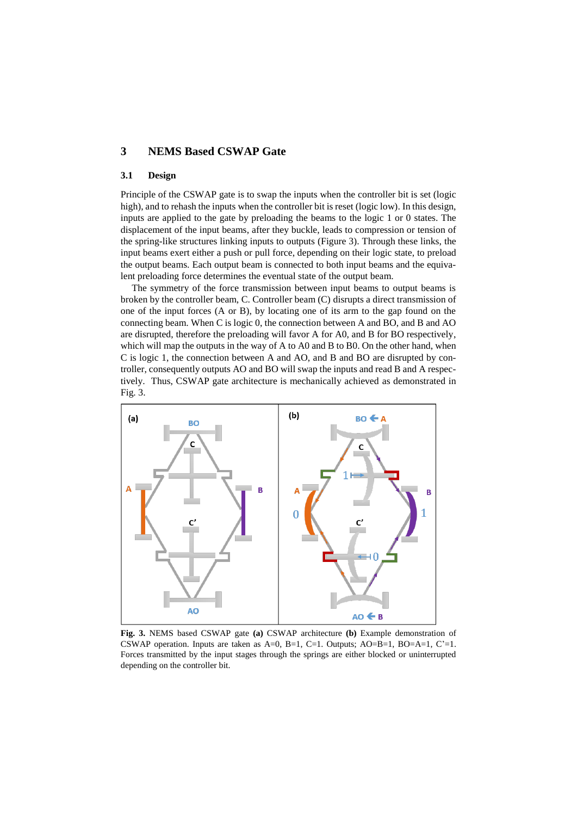# **3 NEMS Based CSWAP Gate**

### **3.1 Design**

Principle of the CSWAP gate is to swap the inputs when the controller bit is set (logic high), and to rehash the inputs when the controller bit is reset (logic low). In this design, inputs are applied to the gate by preloading the beams to the logic 1 or 0 states. The displacement of the input beams, after they buckle, leads to compression or tension of the spring-like structures linking inputs to outputs (Figure 3). Through these links, the input beams exert either a push or pull force, depending on their logic state, to preload the output beams. Each output beam is connected to both input beams and the equivalent preloading force determines the eventual state of the output beam.

The symmetry of the force transmission between input beams to output beams is broken by the controller beam, C. Controller beam (C) disrupts a direct transmission of one of the input forces (A or B), by locating one of its arm to the gap found on the connecting beam. When C is logic 0, the connection between A and BO, and B and AO are disrupted, therefore the preloading will favor A for A0, and B for BO respectively, which will map the outputs in the way of A to A0 and B to B0. On the other hand, when C is logic 1, the connection between A and AO, and B and BO are disrupted by controller, consequently outputs AO and BO will swap the inputs and read B and A respectively. Thus, CSWAP gate architecture is mechanically achieved as demonstrated in Fig. 3.



**Fig. 3.** NEMS based CSWAP gate **(a)** CSWAP architecture **(b)** Example demonstration of CSWAP operation. Inputs are taken as  $A=0$ ,  $B=1$ ,  $C=1$ . Outputs;  $AO=B=1$ ,  $BO=A=1$ ,  $C'=1$ . Forces transmitted by the input stages through the springs are either blocked or uninterrupted depending on the controller bit.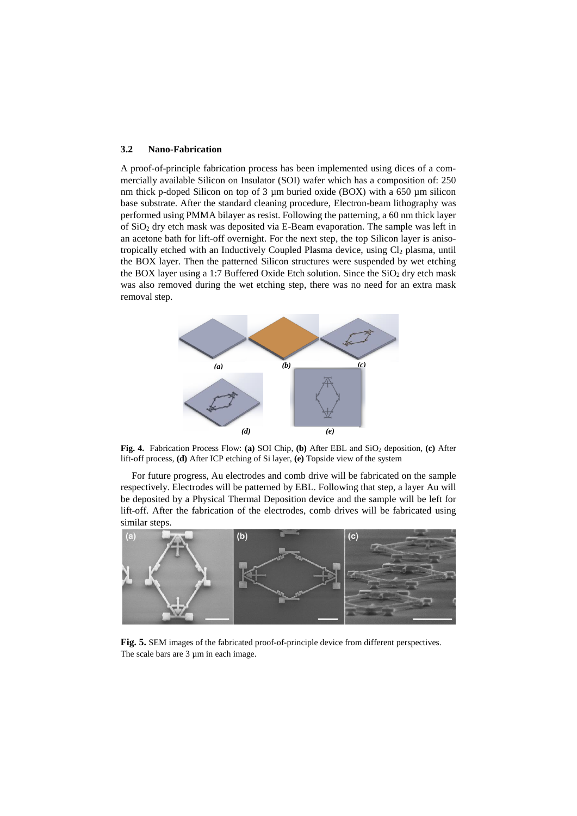#### **3.2 Nano-Fabrication**

A proof-of-principle fabrication process has been implemented using dices of a commercially available Silicon on Insulator (SOI) wafer which has a composition of: 250 nm thick p-doped Silicon on top of 3 µm buried oxide (BOX) with a 650 µm silicon base substrate. After the standard cleaning procedure, Electron-beam lithography was performed using PMMA bilayer as resist. Following the patterning, a 60 nm thick layer of SiO<sup>2</sup> dry etch mask was deposited via E-Beam evaporation. The sample was left in an acetone bath for lift-off overnight. For the next step, the top Silicon layer is anisotropically etched with an Inductively Coupled Plasma device, using Cl<sub>2</sub> plasma, until the BOX layer. Then the patterned Silicon structures were suspended by wet etching the BOX layer using a 1:7 Buffered Oxide Etch solution. Since the  $SiO<sub>2</sub>$  dry etch mask was also removed during the wet etching step, there was no need for an extra mask removal step.



**Fig. 4.** Fabrication Process Flow: **(a)** SOI Chip, **(b)** After EBL and SiO<sup>2</sup> deposition, **(c)** After lift-off process, **(d)** After ICP etching of Si layer, **(e)** Topside view of the system

For future progress, Au electrodes and comb drive will be fabricated on the sample respectively. Electrodes will be patterned by EBL. Following that step, a layer Au will be deposited by a Physical Thermal Deposition device and the sample will be left for lift-off. After the fabrication of the electrodes, comb drives will be fabricated using similar steps.



**Fig. 5.** SEM images of the fabricated proof-of-principle device from different perspectives. The scale bars are 3  $\mu$ m in each image.